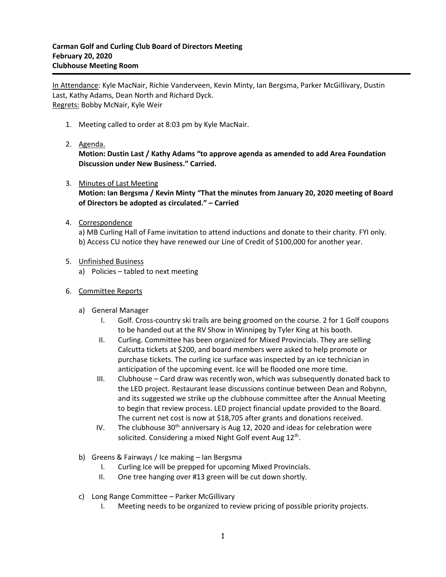In Attendance: Kyle MacNair, Richie Vanderveen, Kevin Minty, Ian Bergsma, Parker McGillivary, Dustin Last, Kathy Adams, Dean North and Richard Dyck. Regrets: Bobby McNair, Kyle Weir

- 1. Meeting called to order at 8:03 pm by Kyle MacNair.
- 2. Agenda.

**Motion: Dustin Last / Kathy Adams "to approve agenda as amended to add Area Foundation Discussion under New Business." Carried.**

3. Minutes of Last Meeting

**Motion: Ian Bergsma / Kevin Minty "That the minutes from January 20, 2020 meeting of Board of Directors be adopted as circulated." – Carried**

4. Correspondence

a) MB Curling Hall of Fame invitation to attend inductions and donate to their charity. FYI only. b) Access CU notice they have renewed our Line of Credit of \$100,000 for another year.

- 5. Unfinished Business
	- a) Policies tabled to next meeting
- 6. Committee Reports
	- a) General Manager
		- I. Golf. Cross-country ski trails are being groomed on the course. 2 for 1 Golf coupons to be handed out at the RV Show in Winnipeg by Tyler King at his booth.
		- II. Curling. Committee has been organized for Mixed Provincials. They are selling Calcutta tickets at \$200, and board members were asked to help promote or purchase tickets. The curling ice surface was inspected by an ice technician in anticipation of the upcoming event. Ice will be flooded one more time.
		- III. Clubhouse Card draw was recently won, which was subsequently donated back to the LED project. Restaurant lease discussions continue between Dean and Robynn, and its suggested we strike up the clubhouse committee after the Annual Meeting to begin that review process. LED project financial update provided to the Board. The current net cost is now at \$18,705 after grants and donations received.
		- IV. The clubhouse  $30<sup>th</sup>$  anniversary is Aug 12, 2020 and ideas for celebration were solicited. Considering a mixed Night Golf event Aug 12<sup>th</sup>.
	- b) Greens & Fairways / Ice making Ian Bergsma
		- I. Curling Ice will be prepped for upcoming Mixed Provincials.
		- II. One tree hanging over #13 green will be cut down shortly.
	- c) Long Range Committee Parker McGillivary
		- I. Meeting needs to be organized to review pricing of possible priority projects.